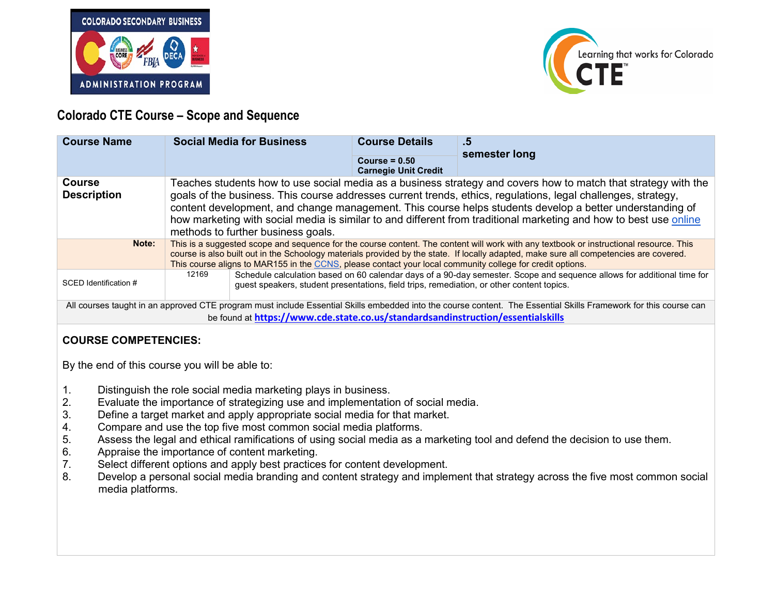



## **Colorado CTE Course – Scope and Sequence**

| <b>Course Name</b>                                                                                                                                                                                                                                  | <b>Social Media for Business</b>                                                                                                                                                                                                                                                                                                                                                                                                                                                                       | <b>Course Details</b><br>Course = $0.50$<br><b>Carnegie Unit Credit</b> | .5<br>semester long                                                                                                    |  |
|-----------------------------------------------------------------------------------------------------------------------------------------------------------------------------------------------------------------------------------------------------|--------------------------------------------------------------------------------------------------------------------------------------------------------------------------------------------------------------------------------------------------------------------------------------------------------------------------------------------------------------------------------------------------------------------------------------------------------------------------------------------------------|-------------------------------------------------------------------------|------------------------------------------------------------------------------------------------------------------------|--|
| <b>Course</b><br><b>Description</b>                                                                                                                                                                                                                 | Teaches students how to use social media as a business strategy and covers how to match that strategy with the<br>goals of the business. This course addresses current trends, ethics, regulations, legal challenges, strategy,<br>content development, and change management. This course helps students develop a better understanding of<br>how marketing with social media is similar to and different from traditional marketing and how to best use online<br>methods to further business goals. |                                                                         |                                                                                                                        |  |
| Note:                                                                                                                                                                                                                                               | This is a suggested scope and sequence for the course content. The content will work with any textbook or instructional resource. This<br>course is also built out in the Schoology materials provided by the state. If locally adapted, make sure all competencies are covered.<br>This course aligns to MAR155 in the CCNS, please contact your local community college for credit options.                                                                                                          |                                                                         |                                                                                                                        |  |
| SCED Identification #                                                                                                                                                                                                                               | 12169<br>guest speakers, student presentations, field trips, remediation, or other content topics.                                                                                                                                                                                                                                                                                                                                                                                                     |                                                                         | Schedule calculation based on 60 calendar days of a 90-day semester. Scope and sequence allows for additional time for |  |
| All courses taught in an approved CTE program must include Essential Skills embedded into the course content. The Essential Skills Framework for this course can<br>be found at https://www.cde.state.co.us/standardsandinstruction/essentialskills |                                                                                                                                                                                                                                                                                                                                                                                                                                                                                                        |                                                                         |                                                                                                                        |  |

## **COURSE COMPETENCIES:**

By the end of this course you will be able to:

- 1. Distinguish the role social media marketing plays in business.<br>2. Evaluate the importance of strategizing use and implementation
- 2. Evaluate the importance of strategizing use and implementation of social media.<br>3. Define a target market and apply appropriate social media for that market.
- 3. Define a target market and apply appropriate social media for that market.<br>4. Compare and use the top five most common social media platforms.
- 4. Compare and use the top five most common social media platforms.<br>5. Assess the legal and ethical ramifications of using social media as a
- 5. Assess the legal and ethical ramifications of using social media as a marketing tool and defend the decision to use them.<br>6. Appraise the importance of content marketing.
- Appraise the importance of content marketing.
- 7. Select different options and apply best practices for content development.<br>8. Develop a personal social media branding and content strategy and impler
- Develop a personal social media branding and content strategy and implement that strategy across the five most common social media platforms.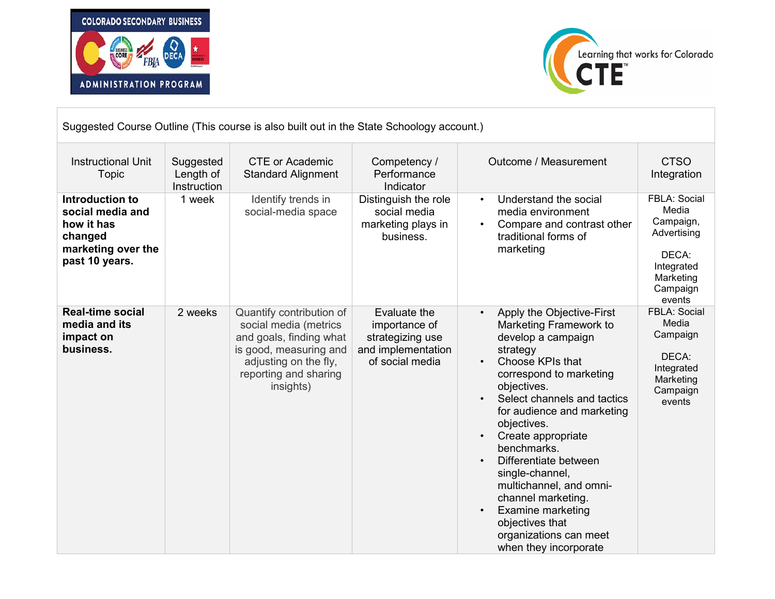



| Suggested Course Outline (This course is also built out in the State Schoology account.)             |                                       |                                                                                                                                                                       |                                                                                            |                                                                                                                                                                                                                                                                                                                                                                                                                                                                                                                                      |                                                                                                             |
|------------------------------------------------------------------------------------------------------|---------------------------------------|-----------------------------------------------------------------------------------------------------------------------------------------------------------------------|--------------------------------------------------------------------------------------------|--------------------------------------------------------------------------------------------------------------------------------------------------------------------------------------------------------------------------------------------------------------------------------------------------------------------------------------------------------------------------------------------------------------------------------------------------------------------------------------------------------------------------------------|-------------------------------------------------------------------------------------------------------------|
| <b>Instructional Unit</b><br>Topic                                                                   | Suggested<br>Length of<br>Instruction | <b>CTE or Academic</b><br><b>Standard Alignment</b>                                                                                                                   | Competency /<br>Performance<br>Indicator                                                   | Outcome / Measurement                                                                                                                                                                                                                                                                                                                                                                                                                                                                                                                | <b>CTSO</b><br>Integration                                                                                  |
| Introduction to<br>social media and<br>how it has<br>changed<br>marketing over the<br>past 10 years. | 1 week                                | Identify trends in<br>social-media space                                                                                                                              | Distinguish the role<br>social media<br>marketing plays in<br>business.                    | Understand the social<br>$\bullet$<br>media environment<br>Compare and contrast other<br>$\bullet$<br>traditional forms of<br>marketing                                                                                                                                                                                                                                                                                                                                                                                              | FBLA: Social<br>Media<br>Campaign,<br>Advertising<br>DECA:<br>Integrated<br>Marketing<br>Campaign<br>events |
| <b>Real-time social</b><br>media and its<br>impact on<br>business.                                   | 2 weeks                               | Quantify contribution of<br>social media (metrics<br>and goals, finding what<br>is good, measuring and<br>adjusting on the fly,<br>reporting and sharing<br>insights) | Evaluate the<br>importance of<br>strategizing use<br>and implementation<br>of social media | Apply the Objective-First<br>$\bullet$<br>Marketing Framework to<br>develop a campaign<br>strategy<br>Choose KPIs that<br>$\bullet$<br>correspond to marketing<br>objectives.<br>Select channels and tactics<br>$\bullet$<br>for audience and marketing<br>objectives.<br>Create appropriate<br>benchmarks.<br>Differentiate between<br>$\bullet$<br>single-channel,<br>multichannel, and omni-<br>channel marketing.<br><b>Examine marketing</b><br>$\bullet$<br>objectives that<br>organizations can meet<br>when they incorporate | FBLA: Social<br>Media<br>Campaign<br>DECA:<br>Integrated<br>Marketing<br>Campaign<br>events                 |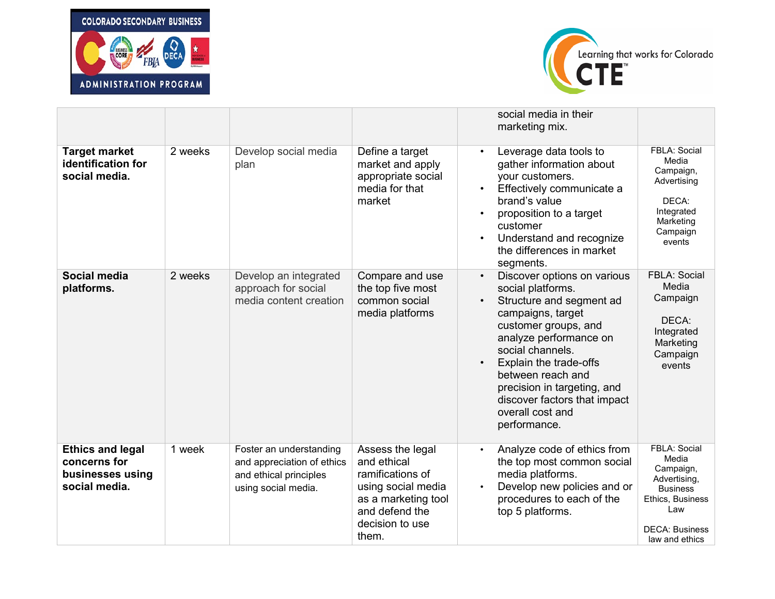



|                                                                              |         |                                                                                                        |                                                                                                                                                | social media in their<br>marketing mix.                                                                                                                                                                                                                                                                                                                                                                                                                                |
|------------------------------------------------------------------------------|---------|--------------------------------------------------------------------------------------------------------|------------------------------------------------------------------------------------------------------------------------------------------------|------------------------------------------------------------------------------------------------------------------------------------------------------------------------------------------------------------------------------------------------------------------------------------------------------------------------------------------------------------------------------------------------------------------------------------------------------------------------|
| <b>Target market</b><br>identification for<br>social media.                  | 2 weeks | Develop social media<br>plan                                                                           | Define a target<br>market and apply<br>appropriate social<br>media for that<br>market                                                          | FBLA: Social<br>Leverage data tools to<br>$\bullet$<br>Media<br>gather information about<br>Campaign,<br>your customers.<br>Advertising<br>Effectively communicate a<br>$\bullet$<br>brand's value<br>DECA:<br>Integrated<br>proposition to a target<br>$\bullet$<br>Marketing<br>customer<br>Campaign<br>Understand and recognize<br>$\bullet$<br>events<br>the differences in market<br>segments.                                                                    |
| Social media<br>platforms.                                                   | 2 weeks | Develop an integrated<br>approach for social<br>media content creation                                 | Compare and use<br>the top five most<br>common social<br>media platforms                                                                       | <b>FBLA: Social</b><br>Discover options on various<br>$\bullet$<br>Media<br>social platforms.<br>Campaign<br>Structure and segment ad<br>$\bullet$<br>campaigns, target<br>DECA:<br>customer groups, and<br>Integrated<br>analyze performance on<br>Marketing<br>social channels.<br>Campaign<br>Explain the trade-offs<br>$\bullet$<br>events<br>between reach and<br>precision in targeting, and<br>discover factors that impact<br>overall cost and<br>performance. |
| <b>Ethics and legal</b><br>concerns for<br>businesses using<br>social media. | 1 week  | Foster an understanding<br>and appreciation of ethics<br>and ethical principles<br>using social media. | Assess the legal<br>and ethical<br>ramifications of<br>using social media<br>as a marketing tool<br>and defend the<br>decision to use<br>them. | FBLA: Social<br>Analyze code of ethics from<br>$\bullet$<br>Media<br>the top most common social<br>Campaign,<br>media platforms.<br>Advertising,<br>Develop new policies and or<br>$\bullet$<br><b>Business</b><br>procedures to each of the<br>Ethics, Business<br>Law<br>top 5 platforms.<br><b>DECA: Business</b><br>law and ethics                                                                                                                                 |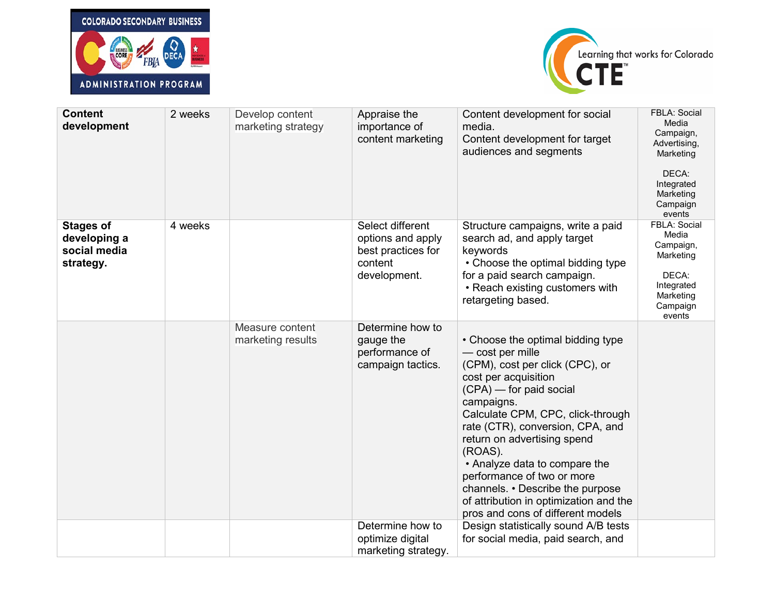



| <b>Content</b><br>development                                 | 2 weeks | Develop content<br>marketing strategy | Appraise the<br>importance of<br>content marketing                                     | Content development for social<br>media.<br>Content development for target<br>audiences and segments                                                                                                                                                                                                                                                                                                                                                             | <b>FBLA: Social</b><br>Media<br>Campaign,<br>Advertising,<br>Marketing<br>DECA:<br>Integrated<br>Marketing<br>Campaign<br>events |
|---------------------------------------------------------------|---------|---------------------------------------|----------------------------------------------------------------------------------------|------------------------------------------------------------------------------------------------------------------------------------------------------------------------------------------------------------------------------------------------------------------------------------------------------------------------------------------------------------------------------------------------------------------------------------------------------------------|----------------------------------------------------------------------------------------------------------------------------------|
| <b>Stages of</b><br>developing a<br>social media<br>strategy. | 4 weeks |                                       | Select different<br>options and apply<br>best practices for<br>content<br>development. | Structure campaigns, write a paid<br>search ad, and apply target<br>keywords<br>• Choose the optimal bidding type<br>for a paid search campaign.<br>• Reach existing customers with<br>retargeting based.                                                                                                                                                                                                                                                        | FBLA: Social<br>Media<br>Campaign,<br>Marketing<br>DECA:<br>Integrated<br>Marketing<br>Campaign<br>events                        |
|                                                               |         | Measure content<br>marketing results  | Determine how to<br>gauge the<br>performance of<br>campaign tactics.                   | • Choose the optimal bidding type<br>- cost per mille<br>(CPM), cost per click (CPC), or<br>cost per acquisition<br>$(CPA)$ – for paid social<br>campaigns.<br>Calculate CPM, CPC, click-through<br>rate (CTR), conversion, CPA, and<br>return on advertising spend<br>(ROAS).<br>• Analyze data to compare the<br>performance of two or more<br>channels. • Describe the purpose<br>of attribution in optimization and the<br>pros and cons of different models |                                                                                                                                  |
|                                                               |         |                                       | Determine how to<br>optimize digital<br>marketing strategy.                            | Design statistically sound A/B tests<br>for social media, paid search, and                                                                                                                                                                                                                                                                                                                                                                                       |                                                                                                                                  |